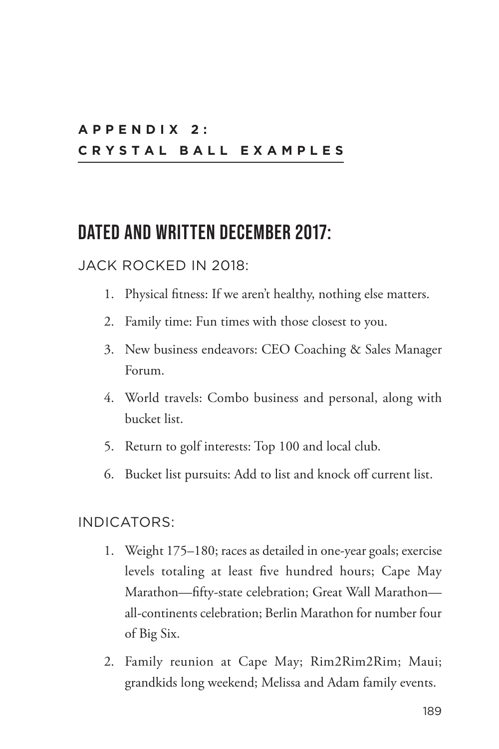# **A P P E N D I X 2 : CRYSTAL BALL EXAMPLES**

# **DATED AND WRITTEN DECEMBER 2017:**

### JACK ROCKED IN 2018:

- 1. Physical fitness: If we aren't healthy, nothing else matters.
- 2. Family time: Fun times with those closest to you.
- 3. New business endeavors: CEO Coaching & Sales Manager Forum.
- 4. World travels: Combo business and personal, along with bucket list.
- 5. Return to golf interests: Top 100 and local club.
- 6. Bucket list pursuits: Add to list and knock off current list.

#### INDICATORS:

- 1. Weight 175–180; races as detailed in one-year goals; exercise levels totaling at least five hundred hours; Cape May Marathon—fifty-state celebration; Great Wall Marathon all-continents celebration; Berlin Marathon for number four of Big Six.
- 2. Family reunion at Cape May; Rim2Rim2Rim; Maui; grandkids long weekend; Melissa and Adam family events.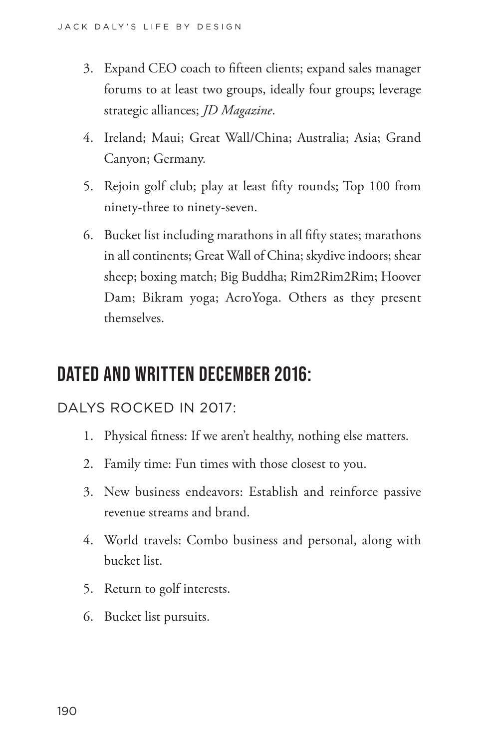- 3. Expand CEO coach to fifteen clients; expand sales manager forums to at least two groups, ideally four groups; leverage strategic alliances; *JD Magazine*.
- 4. Ireland; Maui; Great Wall/China; Australia; Asia; Grand Canyon; Germany.
- 5. Rejoin golf club; play at least fifty rounds; Top 100 from ninety-three to ninety-seven.
- 6. Bucket list including marathons in all fifty states; marathons in all continents; Great Wall of China; skydive indoors; shear sheep; boxing match; Big Buddha; Rim2Rim2Rim; Hoover Dam; Bikram yoga; AcroYoga. Others as they present themselves.

# **DATED AND WRITTEN DECEMBER 2016:**

## DALYS ROCKED IN 2017:

- 1. Physical fitness: If we aren't healthy, nothing else matters.
- 2. Family time: Fun times with those closest to you.
- 3. New business endeavors: Establish and reinforce passive revenue streams and brand.
- 4. World travels: Combo business and personal, along with bucket list.
- 5. Return to golf interests.
- 6. Bucket list pursuits.